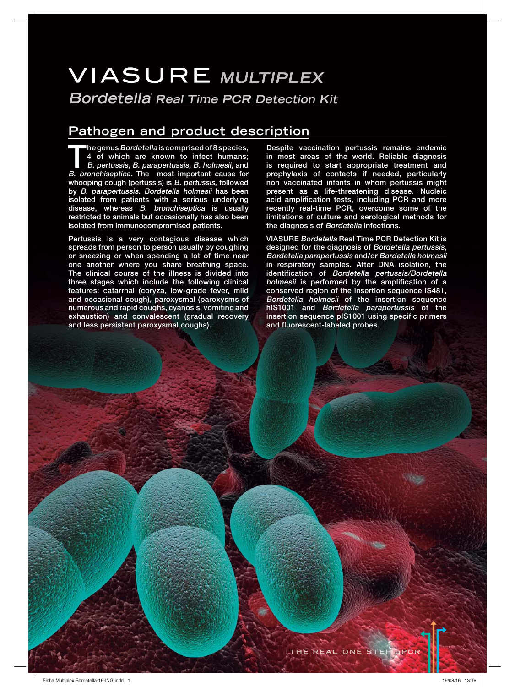# **VIASURE MULTIPLEX**

**Bordetella Real Time PCR Detection Kit**

### **Pathogen and product description**

**The genus Bordetella is comprised of 8 species, 4 of which are known to infect humans; B. pertussis, B. parapertussis, B. holmesii, and B. bronchiseptica. The most important cause for whooping cough (pertussis) is B. pertussis, followed by B. parapertussis. Bordetella holmesii has been isolated from patients with a serious underlying disease, whereas B. bronchiseptica is usually restricted to animals but occasionally has also been isolated from immunocompromised patients.**

**Pertussis is a very contagious disease which spreads from person to person usually by coughing or sneezing or when spending a lot of time near one another where you share breathing space. The clinical course of the illness is divided into three stages which include the following clinical features: catarrhal (coryza, low-grade fever, mild and occasional cough), paroxysmal (paroxysms of numerous and rapid coughs, cyanosis, vomiting and exhaustion) and convalescent (gradual recovery and less persistent paroxysmal coughs).**

**Despite vaccination pertussis remains endemic in most areas of the world. Reliable diagnosis is required to start appropriate treatment and prophylaxis of contacts if needed, particularly non vaccinated infants in whom pertussis might present as a life-threatening disease. Nucleic acid amplification tests, including PCR and more recently real-time PCR, overcome some of the limitations of culture and serological methods for the diagnosis of Bordetella infections.**

**VIASURE Bordetella Real Time PCR Detection Kit is designed for the diagnosis of Bordetella pertussis, Bordetella parapertussis and/or Bordetella holmesii in respiratory samples. After DNA isolation, the identification of Bordetella pertussis/Bordetella holmesii is performed by the amplification of a conserved region of the insertion sequence IS481, Bordetella holmesii of the insertion sequence hIS1001 and Bordetella parapertussis of the insertion sequence pIS1001 using specific primers and fluorescent-labeled probes.**